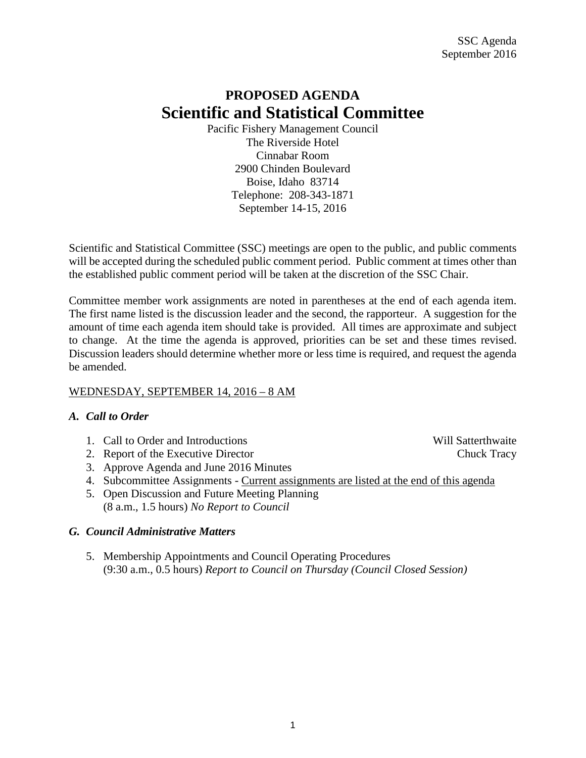# **PROPOSED AGENDA Scientific and Statistical Committee**

Pacific Fishery Management Council The Riverside Hotel Cinnabar Room 2900 Chinden Boulevard Boise, Idaho 83714 Telephone: 208-343-1871 September 14-15, 2016

Scientific and Statistical Committee (SSC) meetings are open to the public, and public comments will be accepted during the scheduled public comment period. Public comment at times other than the established public comment period will be taken at the discretion of the SSC Chair.

Committee member work assignments are noted in parentheses at the end of each agenda item. The first name listed is the discussion leader and the second, the rapporteur. A suggestion for the amount of time each agenda item should take is provided. All times are approximate and subject to change. At the time the agenda is approved, priorities can be set and these times revised. Discussion leaders should determine whether more or less time is required, and request the agenda be amended.

# WEDNESDAY, SEPTEMBER 14, 2016 – 8 AM

# *A. Call to Order*

- 1. Call to Order and Introductions and the United States and Will Satterthwaite
- 2. Report of the Executive Director Chuck Tracy
- 3. Approve Agenda and June 2016 Minutes
- 4. Subcommittee Assignments Current assignments are listed at the end of this agenda
- 5. Open Discussion and Future Meeting Planning (8 a.m., 1.5 hours) *No Report to Council*

# *G. Council Administrative Matters*

5. Membership Appointments and Council Operating Procedures (9:30 a.m., 0.5 hours) *Report to Council on Thursday (Council Closed Session)*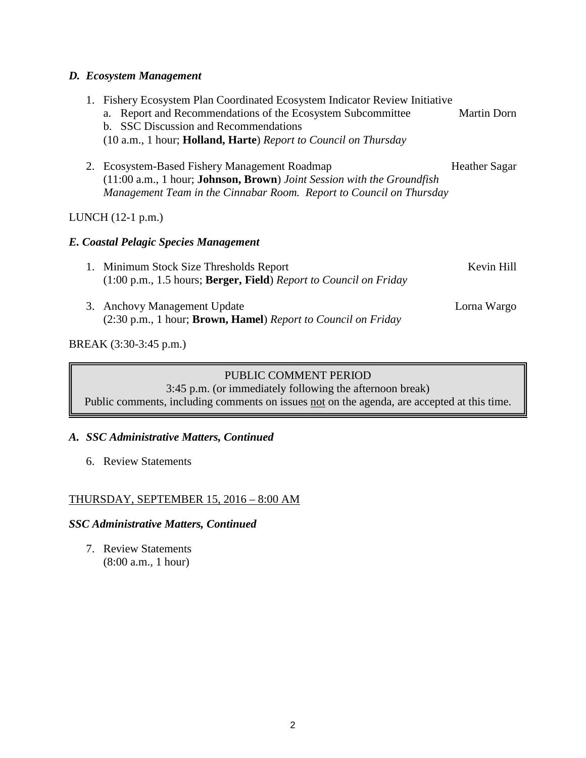## *D. Ecosystem Management*

|    | 1. Fishery Ecosystem Plan Coordinated Ecosystem Indicator Review Initiative         |                      |
|----|-------------------------------------------------------------------------------------|----------------------|
|    | Report and Recommendations of the Ecosystem Subcommittee<br>a.                      | Martin Dorn          |
|    | <b>SSC Discussion and Recommendations</b><br>$h_{-}$                                |                      |
|    | (10 a.m., 1 hour; Holland, Harte) Report to Council on Thursday                     |                      |
|    | 2. Ecosystem-Based Fishery Management Roadmap                                       | <b>Heather Sagar</b> |
|    | $(11:00 a.m., 1 hour; Johnson, Brown)$ <i>Joint Session with the Groundfish</i>     |                      |
|    | Management Team in the Cinnabar Room. Report to Council on Thursday                 |                      |
|    |                                                                                     |                      |
|    | LUNCH $(12-1$ p.m.)                                                                 |                      |
|    | E. Coastal Pelagic Species Management                                               |                      |
| 1. | Minimum Stock Size Thresholds Report                                                | Kevin Hill           |
|    | $(1:00 \text{ p.m.}, 1.5 \text{ hours};$ Berger, Field) Report to Council on Friday |                      |
|    |                                                                                     |                      |
|    | 3. Anchovy Management Update                                                        | Lorna Wargo          |
|    | (2:30 p.m., 1 hour; <b>Brown, Hamel</b> ) Report to Council on Friday               |                      |
|    |                                                                                     |                      |
|    | BREAK (3:30-3:45 p.m.)                                                              |                      |

# PUBLIC COMMENT PERIOD

3:45 p.m. (or immediately following the afternoon break) Public comments, including comments on issues not on the agenda, are accepted at this time.

# *A. SSC Administrative Matters, Continued*

6. Review Statements

# THURSDAY, SEPTEMBER 15, 2016 – 8:00 AM

# *SSC Administrative Matters, Continued*

7. Review Statements (8:00 a.m., 1 hour)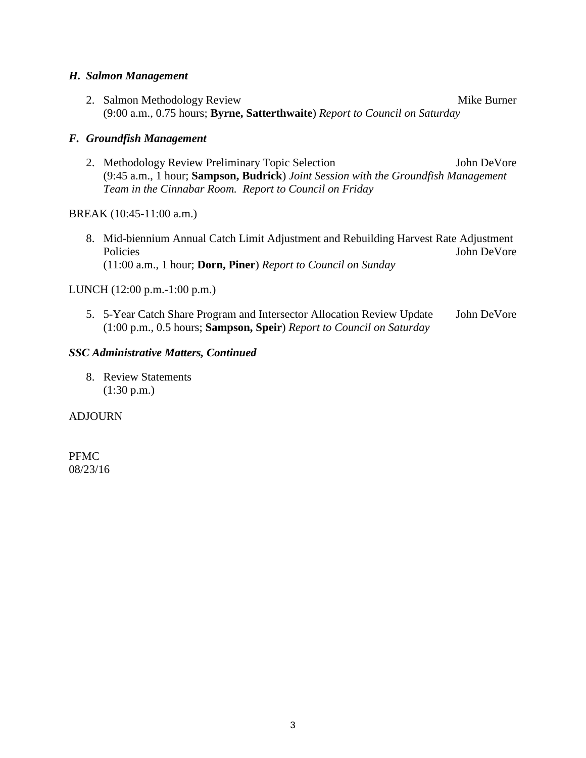#### *H. Salmon Management*

2. Salmon Methodology Review Mike Burner (9:00 a.m., 0.75 hours; **Byrne, Satterthwaite**) *Report to Council on Saturday*

#### *F. Groundfish Management*

2. Methodology Review Preliminary Topic Selection John DeVore (9:45 a.m., 1 hour; **Sampson, Budrick**) *Joint Session with the Groundfish Management Team in the Cinnabar Room. Report to Council on Friday*

#### BREAK (10:45-11:00 a.m.)

8. Mid-biennium Annual Catch Limit Adjustment and Rebuilding Harvest Rate Adjustment Policies John DeVore (11:00 a.m., 1 hour; **Dorn, Piner**) *Report to Council on Sunday*

#### LUNCH (12:00 p.m.-1:00 p.m.)

5. 5-Year Catch Share Program and Intersector Allocation Review Update John DeVore (1:00 p.m., 0.5 hours; **Sampson, Speir**) *Report to Council on Saturday*

#### *SSC Administrative Matters, Continued*

8. Review Statements (1:30 p.m.)

#### ADJOURN

PFMC 08/23/16